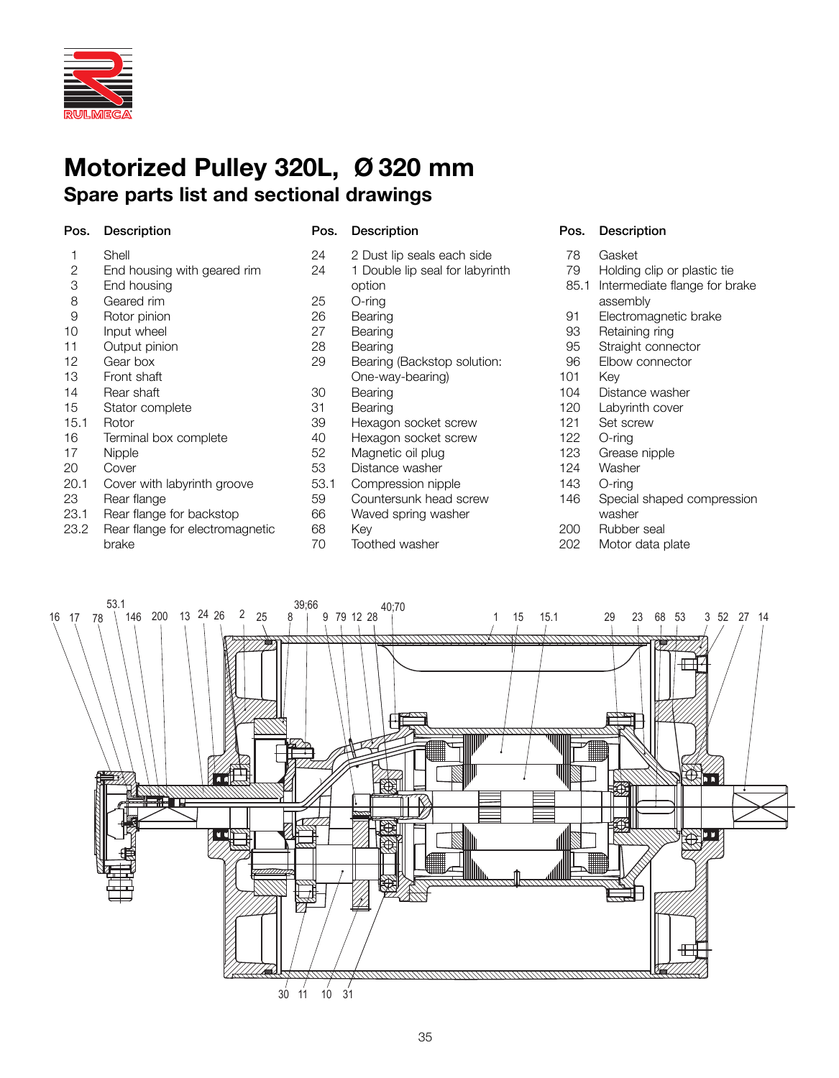

# **Motorized Pulley 320L, Ø 320 mm Spare parts list and sectional drawings**

### Pos. Description Pos. Description Pos. Description

| 1    | Shell                           | $\overline{c}$ |
|------|---------------------------------|----------------|
| 2    | End housing with geared rim     | $\overline{2}$ |
| 3    | End housing                     |                |
| 8    | Geared rim                      | $\overline{c}$ |
| 9    | Rotor pinion                    | $\overline{c}$ |
| 10   | Input wheel                     | $\overline{c}$ |
| 11   | Output pinion                   | $\frac{2}{2}$  |
| 12   | Gear box                        |                |
| 13   | Front shaft                     |                |
| 14   | Rear shaft                      | 3              |
| 15   | Stator complete                 | 3              |
| 15.1 | Rotor                           | 3              |
| 16   | Terminal box complete           | 4              |
| 17   | Nipple                          | 5              |
| 20   | Cover                           | 5              |
| 20.1 | Cover with labyrinth groove     | 5              |
| 23   | Rear flange                     | 5              |
| 23.1 | Rear flange for backstop        | 6              |
| 23.2 | Rear flange for electromagnetic | 6              |

- 23.2 Rear flange for electromagnetic brake
- 24 2 Dust lip seals each side 24 1 Double lip seal for labyrinth option 25 O-ring 26 Bearing 27 Bearing 28 Bearing<br>29 Bearing Bearing (Backstop solution: One-way-bearing) 30 Bearing 31 Bearing 39 Hexagon socket screw 10 Hexagon socket screw<br>52 Magnetic oil plug 52 Magnetic oil plug<br>53 Distance washer 53 Distance washer<br>53.1 Compression nin Compression nipple 59 Countersunk head screw<br>56 Vaved spring washer Waved spring washer 68 Key
- 70 Toothed washer

- 78 Gasket
- 79 Holding clip or plastic tie
- 85.1 Intermediate flange for brake assembly
- 91 Electromagnetic brake
- 93 Retaining ring
- 95 Straight connector<br>96 Elbow connector
- Elbow connector
- 101 Key<br>104 Dista
- Distance washer
- 120 Labyrinth cover
- 121 Set screw
- 122 O-ring
- 123 Grease nipple<br>124 Washer
- 124 Washer<br>143 O-ring
- O-ring
- 146 Special shaped compression washer
- 200 Rubber seal
- 202 Motor data plate

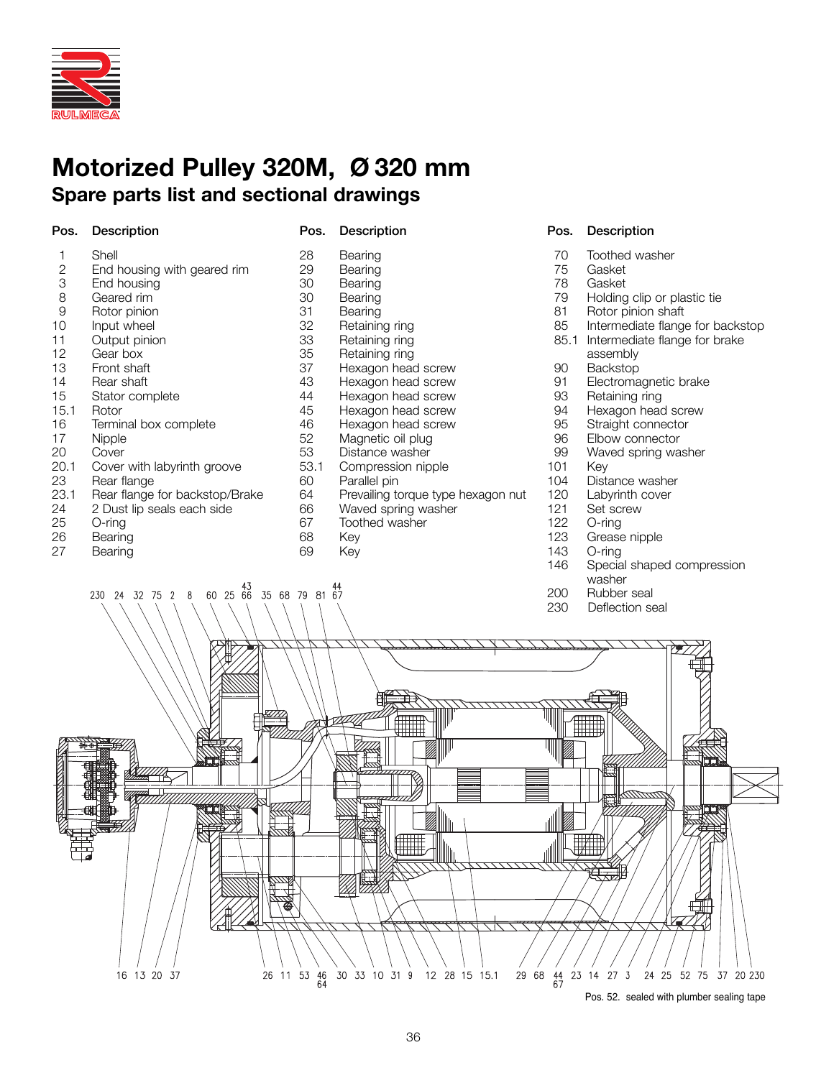

230 24 32 75

 $\overline{2}$  $\mathsf{R}$ 

# **Motorized Pulley 320M, Ø 320 mm Spare parts list and sectional drawings**

| Pos.           | <b>Description</b>             | Pos. | Description                        | P <sub>0</sub> |
|----------------|--------------------------------|------|------------------------------------|----------------|
| 1              | Shell                          | 28   | Bearing                            |                |
| $\overline{2}$ | End housing with geared rim    | 29   | Bearing                            |                |
| 3              | End housing                    | 30   | Bearing                            |                |
| 8              | Geared rim                     | 30   | Bearing                            |                |
| $\Theta$       | Rotor pinion                   | 31   | Bearing                            |                |
| 10             | Input wheel                    | 32   | Retaining ring                     |                |
| 11             | Output pinion                  | 33   | Retaining ring                     |                |
| 12             | Gear box                       | 35   | Retaining ring                     |                |
| 13             | Front shaft                    | 37   | Hexagon head screw                 |                |
| 14             | Rear shaft                     | 43   | Hexagon head screw                 |                |
| 15             | Stator complete                | 44   | Hexagon head screw                 |                |
| 15.1           | Rotor                          | 45   | Hexagon head screw                 |                |
| 16             | Terminal box complete          | 46   | Hexagon head screw                 |                |
| 17             | Nipple                         | 52   | Magnetic oil plug                  |                |
| 20             | Cover                          | 53   | Distance washer                    |                |
| 20.1           | Cover with labyrinth groove    | 53.1 | Compression nipple                 | 1(             |
| 23             | Rear flange                    | 60   | Parallel pin                       | $\mathbf{1}$   |
| 23.1           | Rear flange for backstop/Brake | 64   | Prevailing torque type hexagon nut | 12             |
| 24             | 2 Dust lip seals each side     | 66   | Waved spring washer                | 12             |
| 25             | $O$ -ring                      | 67   | Toothed washer                     | 12             |
| 26             | Bearing                        | 68   | Key                                | 12             |
| 27             | Bearing                        | 69   | Kev                                | 14             |

44<br>60 25 66 35 68 79 81 67

### os. Description

- 70 Toothed washer<br>75 Gasket
- 75 Gasket<br>78 Gasket
- 78 Gaske<mark>t</mark><br>79 Holdino
- 79 Holding clip or plastic tie<br>81 Rotor pinion shaft
- 
- 81 Rotor pinion shaft<br>85 Intermediate flange Intermediate flange for backstop 85.1 Intermediate flange for brake
- assembly
- 90 Backstop<br>91 Electroma
- 91 Electromagnetic brake<br>93 Betaining ring
- 93 Retaining ring<br>94 Hexagon head
- 94 Hexagon head screw<br>95 Straight connector
- Straight connector
- 96 Elbow connector<br>99 Waved spring wa
- Waved spring washer
- 01 Key
- 04 Distance washer<br>20 Labyrinth cover
- 20 Labyrinth cover<br>21 Set screw
- 21 Set screw<br>22 O-ring
- 22 O-ring<br>23 Grease
- 123 Grease nipple<br>143 O-ring
- O-ring
- 146 Special shaped compression washer
- 200 Rubber seal
- 230 Deflection seal



Pos. 52. sealed with plumber sealing tape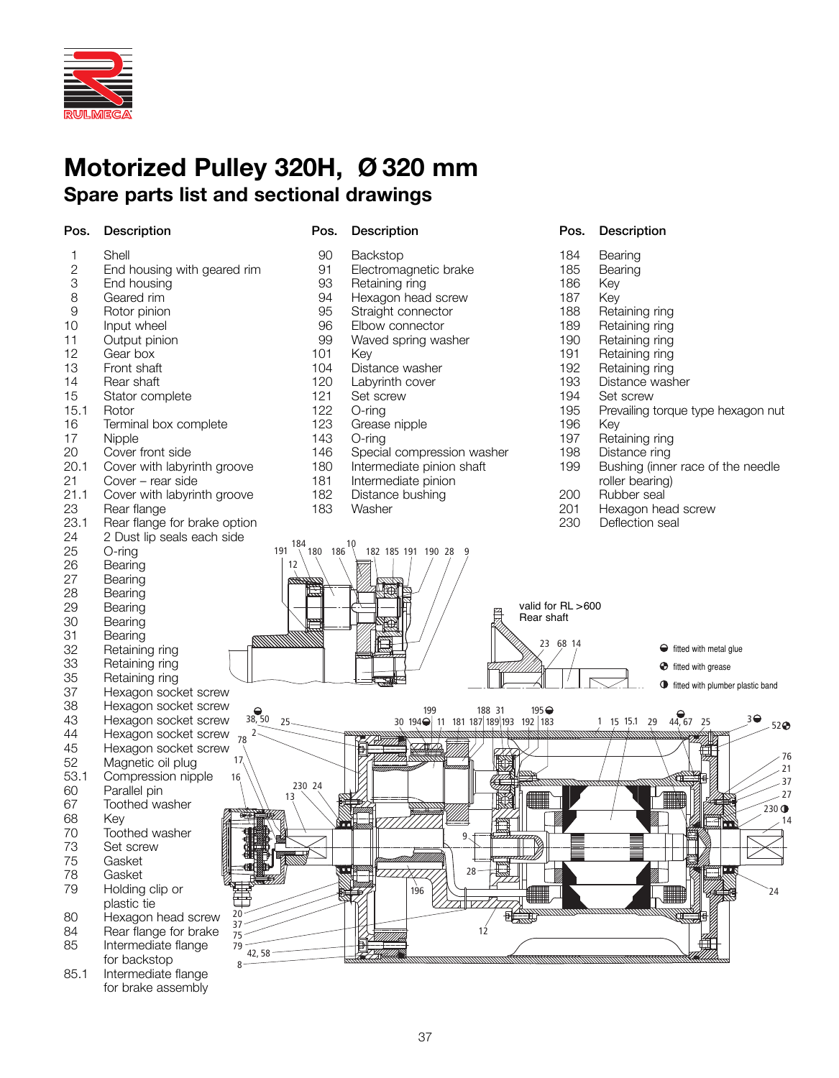

# **Motorized Pulley 320H, Ø 320 mm Spare parts list and sectional drawings**

3 End housing<br>8 Geared rim 8 Geared rim<br>9 Rotor pinion 9 Rotor pinion<br>10 Input wheel Input wheel 11 Output pinion<br>12 Gear box 12 Gear box<br>13 Front shat 13 Front shaft<br>14 Rear shaft 14 Rear shaft<br>15 Stator com 15 Stator complete<br>15.1 Rotor

2 End housing with geared rim<br>3 End housing

Terminal box complete

21.1 Cover with labyrinth groove<br>23 Rear flange Rear flange

Cover with labyrinth groove

1 Shell<br>2 Fnd I

15.1 Rotor<br>16 Termin

17 Nipple<br>20 Cover

20 Cover front side<br>20.1 Cover with labyr

21 Cover – rear side<br>21.1 Cover with labyring

### Pos. Description Pos. Description Pos. Description

91 Electromagnetic brake<br>93 Retaining ring 93 Retaining ring<br>94 Hexagon head 94 Hexagon head screw<br>95 Straight connector 95 Straight connector<br>96 Elbow connector 96 Elbow connector<br>99 Waved spring wa 99 Waved spring washer<br>101 Key

104 Distance washer<br>120 Labyrinth cover 120 Labyrinth cover<br>121 Set screw 121 Set screw<br>122 O-ring 122 O-ring<br>123 Grease

Grease nipple

181 Intermediate pinion<br>182 Distance bushing 182 Distance bushing<br>183 Washer Washer

146 Special compression washer<br>180 Intermediate pinion shaft Intermediate pinion shaft

90 Backstop<br>91 Flectroma

101 Key<br>104 Dist

143 O-ring<br>146 Specia

- 184 Bearing
	- 185 Bearing<br>186 Kev
	- 186
	- 187 Key
	- 188 Retaining ring<br>189 Retaining ring
	- 189 Retaining ring<br>190 Retaining ring
	- 190 Retaining ring<br>191 Retaining ring
	- 191 Retaining ring<br>192 Retaining ring
	- 192 Retaining ring<br>193 Distance was
	- 193 Distance washer<br>194 Set screw
	- 194 Set screw<br>195 Prevailing
	- Prevailing torque type hexagon nut<br>Kev
	- 196
	- 197 Retaining ring<br>198 Distance ring
	- 198 Distance ring<br>199 Bushing (inne
	- Bushing (inner race of the needle roller bearing)
	- 200 Rubber seal
	- 201 Hexagon head screw<br>230 Deflection seal
	- Deflection seal



85.1 Intermediate flange for brake assembly